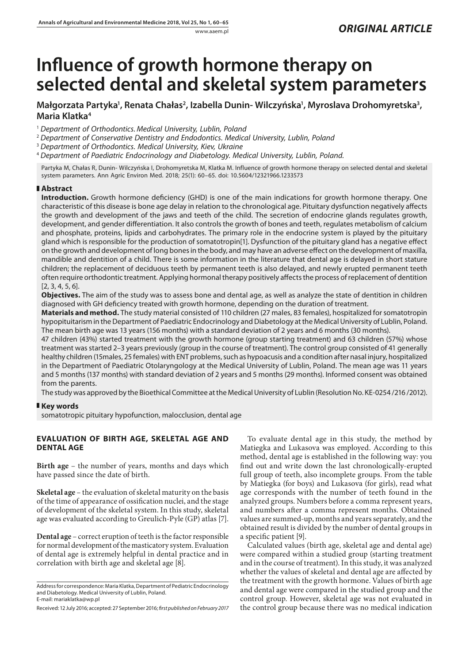# **Influence of growth hormone therapy on selected dental and skeletal system parameters**

## Małgorzata Partyka<sup>1</sup>, Renata Chałas<sup>2</sup>, Izabella Dunin- Wilczyńska<sup>1</sup>, Myroslava Drohomyretska<sup>3</sup>, **Maria Klatka4**

<sup>1</sup> *Department of Orthodontics. Medical University, Lublin, Poland*

<sup>2</sup> *Department of Conservative Dentistry and Endodontics. Medical University, Lublin, Poland*

<sup>3</sup> *Department of Orthodontics. Medical University, Kiev, Ukraine*

<sup>4</sup> *Department of Paediatric Endocrinology and Diabetology. Medical University, Lublin, Poland.*

Partyka M, Chałas R, Dunin- Wilczyńska I, Drohomyretska M, Klatka M. Influence of growth hormone therapy on selected dental and skeletal system parameters. Ann Agric Environ Med. 2018; 25(1): 60–65. doi: 10.5604/12321966.1233573

## **Abstract**

**Introduction.** Growth hormone deficiency (GHD) is one of the main indications for growth hormone therapy. One characteristic of this disease is bone age delay in relation to the chronological age. Pituitary dysfunction negatively affects the growth and development of the jaws and teeth of the child. The secretion of endocrine glands regulates growth, development, and gender differentiation. It also controls the growth of bones and teeth, regulates metabolism of calcium and phosphate, proteins, lipids and carbohydrates. The primary role in the endocrine system is played by the pituitary gland which is responsible for the production of somatotropin[1]. Dysfunction of the pituitary gland has a negative effect on the growth and development of long bones in the body, and may have an adverse effect on the development of maxilla, mandible and dentition of a child. There is some information in the literature that dental age is delayed in short stature children; the replacement of deciduous teeth by permanent teeth is also delayed, and newly erupted permanent teeth often require orthodontic treatment. Applying hormonal therapy positively affects the process of replacement of dentition [2, 3, 4, 5, 6].

**Objectives.** The aim of the study was to assess bone and dental age, as well as analyze the state of dentition in children diagnosed with GH deficiency treated with growth hormone, depending on the duration of treatment.

**Materials and method.** The study material consisted of 110 children (27 males, 83 females), hospitalized for somatotropin hypopituitarism in the Department of Paediatric Endocrinology and Diabetology at the Medical University of Lublin, Poland. The mean birth age was 13 years (156 months) with a standard deviation of 2 years and 6 months (30 months).

47 children (43%) started treatment with the growth hormone (group starting treatment) and 63 children (57%) whose treatment was started 2–3 years previously (group in the course of treatment). The control group consisted of 41 generally healthy children (15males, 25 females) with ENT problems, such as hypoacusis and a condition after nasal injury, hospitalized in the Department of Paediatric Otolaryngology at the Medical University of Lublin, Poland. The mean age was 11 years and 5 months (137 months) with standard deviation of 2 years and 5 months (29 months). Informed consent was obtained from the parents.

The study was approved by the Bioethical Committee at the Medical University of Lublin (Resolution No. KE-0254 /216 /2012).

## **Key words**

somatotropic pituitary hypofunction, malocclusion, dental age

## **EVALUATION OF BIRTH AGE, SKELETAL AGE AND DENTAL AGE**

**Birth age** – the number of years, months and days which have passed since the date of birth.

**Skeletal age** – the evaluation of skeletal maturity on the basis of the time of appearance of ossification nuclei, and the stage of development of the skeletal system. In this study, skeletal age was evaluated according to Greulich-Pyle (GP) atlas [7].

**Dental age** – correct eruption of teeth is the factor responsible for normal development of the masticatory system. Evaluation of dental age is extremely helpful in dental practice and in correlation with birth age and skeletal age [8].

To evaluate dental age in this study, the method by Matiegka and Lukasova was employed. According to this method, dental age is established in the following way: you find out and write down the last chronologically-erupted full group of teeth, also incomplete groups. From the table by Matiegka (for boys) and Lukasova (for girls), read what age corresponds with the number of teeth found in the analyzed groups. Numbers before a comma represent years, and numbers after a comma represent months. Obtained values are summed-up, months and years separately, and the obtained result is divided by the number of dental groups in a specific patient [9].

Calculated values (birth age, skeletal age and dental age) were compared within a studied group (starting treatment and in the course of treatment). In this study, it was analyzed whether the values of skeletal and dental age are affected by the treatment with the growth hormone. Values of birth age and dental age were compared in the studied group and the control group. However, skeletal age was not evaluated in the control group because there was no medical indication

Address for correspondence: Maria Klatka, Department of Pediatric Endocrinology and Diabetology. Medical University of Lublin, Poland. E-mail: mariaklatka@wp.pl

Received: 12 July 2016; accepted: 27 September 2016; *first published on February 2017*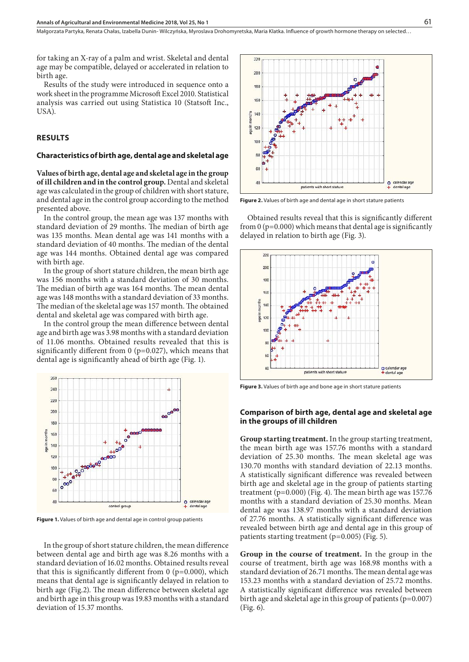Małgorzata Partyka, Renata Chałas, Izabella Dunin- Wilczyńska, Myroslava Drohomyretska, Maria Klatka . Influence of growth hormone therapy on selected…

for taking an X-ray of a palm and wrist. Skeletal and dental age may be compatible, delayed or accelerated in relation to birth age.

Results of the study were introduced in sequence onto a work sheet in the programme Microsoft Excel 2010. Statistical analysis was carried out using Statistica 10 (Statsoft Inc., USA).

## **RESULTS**

#### **Characteristics of birth age, dental age and skeletal age**

**Values of birth age, dental age and skeletal age in the group of ill children and in the control group.** Dental and skeletal age was calculated in the group of children with short stature, and dental age in the control group according to the method presented above.

In the control group, the mean age was 137 months with standard deviation of 29 months. The median of birth age was 135 months. Mean dental age was 141 months with a standard deviation of 40 months. The median of the dental age was 144 months. Obtained dental age was compared with birth age.

In the group of short stature children, the mean birth age was 156 months with a standard deviation of 30 months. The median of birth age was 164 months. The mean dental age was 148 months with a standard deviation of 33 months. The median of the skeletal age was 157 month. The obtained dental and skeletal age was compared with birth age.

In the control group the mean difference between dental age and birth age was 3.98 months with a standard deviation of 11.06 months. Obtained results revealed that this is significantly different from 0 (p=0.027), which means that dental age is significantly ahead of birth age (Fig. 1).



**Figure 1.** Values of birth age and dental age in control group patients

In the group of short stature children, the mean difference between dental age and birth age was 8.26 months with a standard deviation of 16.02 months. Obtained results reveal that this is significantly different from  $0$  ( $p=0.000$ ), which means that dental age is significantly delayed in relation to birth age (Fig.2). The mean difference between skeletal age and birth age in this group was 19.83 months with a standard deviation of 15.37 months.



**Figure 2.** Values of birth age and dental age in short stature patients

Obtained results reveal that this is significantly different from  $0$  ( $p=0.000$ ) which means that dental age is significantly delayed in relation to birth age (Fig. 3).



**Figure 3.** Values of birth age and bone age in short stature patients

## **Comparison of birth age, dental age and skeletal age in the groups of ill children**

**Group starting treatment.** In the group starting treatment, the mean birth age was 157.76 months with a standard deviation of 25.30 months. The mean skeletal age was 130.70 months with standard deviation of 22.13 months. A statistically significant difference was revealed between birth age and skeletal age in the group of patients starting treatment (p=0.000) (Fig. 4). The mean birth age was 157.76 months with a standard deviation of 25.30 months. Mean dental age was 138.97 months with a standard deviation of 27.76 months. A statistically significant difference was revealed between birth age and dental age in this group of patients starting treatment (p=0.005) (Fig. 5).

**Group in the course of treatment.** In the group in the course of treatment, birth age was 168.98 months with a standard deviation of 26.71 months. The mean dental age was 153.23 months with a standard deviation of 25.72 months. A statistically significant difference was revealed between birth age and skeletal age in this group of patients (p=0.007) (Fig. 6).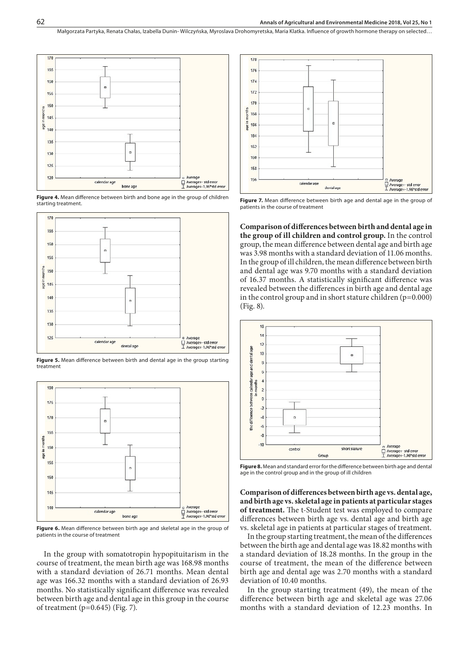Małgorzata Partyka, Renata Chałas, Izabella Dunin- Wilczyńska, Myroslava Drohomyretska, Maria Klatka . Influence of growth hormone therapy on selected…



**Figure 4.** Mean difference between birth and bone age in the group of children starting treatment.



**Figure 5.** Mean difference between birth and dental age in the group starting treatment



**Figure 6.** Mean difference between birth age and skeletal age in the group of patients in the course of treatment

In the group with somatotropin hypopituitarism in the course of treatment, the mean birth age was 168.98 months with a standard deviation of 26.71 months. Mean dental age was 166.32 months with a standard deviation of 26.93 months. No statistically significant difference was revealed between birth age and dental age in this group in the course of treatment (p=0.645) (Fig. 7).



**Figure 7.** Mean difference between birth age and dental age in the group of patients in the course of treatment

**Comparison of differences between birth and dental age in the group of ill children and control group.** In the control group, the mean difference between dental age and birth age was 3.98 months with a standard deviation of 11.06 months. In the group of ill children, the mean difference between birth and dental age was 9.70 months with a standard deviation of 16.37 months. A statistically significant difference was revealed between the differences in birth age and dental age in the control group and in short stature children (p=0.000) (Fig. 8).



**Figure 8.** Mean and standard error for the difference between birth age and dental age in the control group and in the group of ill children

**Comparison of differences between birth age vs. dental age, and birth age vs. skeletal age in patients at particular stages of treatment.** The t-Student test was employed to compare differences between birth age vs. dental age and birth age vs. skeletal age in patients at particular stages of treatment.

In the group starting treatment, the mean of the differences between the birth age and dental age was 18.82 months with a standard deviation of 18.28 months. In the group in the course of treatment, the mean of the difference between birth age and dental age was 2.70 months with a standard deviation of 10.40 months.

In the group starting treatment (49), the mean of the difference between birth age and skeletal age was 27.06 months with a standard deviation of 12.23 months. In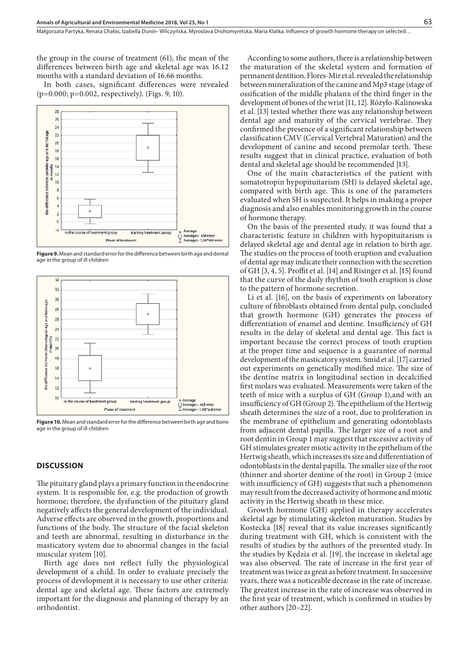the group in the course of treatment (61), the mean of the differences between birth age and skeletal age was 16.12 months with a standard deviation of 16.66 months.

In both cases, significant differences were revealed (p=0.000; p=0.002, respectively). (Figs. 9, 10).



**Figure 9.** Mean and standard error for the difference between birth age and dental age in the group of ill children



**Figure 10.** Mean and standard error for the difference between birth age and bone age in the group of ill children

## **DISCUSSION**

The pituitary gland plays a primary function in the endocrine system. It is responsible for, e.g. the production of growth hormone; therefore, the dysfunction of the pituitary gland negatively affects the general development of the individual. Adverse effects are observed in the growth, proportions and functions of the body. The structure of the facial skeleton and teeth are abnormal, resulting in disturbance in the masticatory system due to abnormal changes in the facial muscular system [10].

Birth age does not reflect fully the physiological development of a child. In order to evaluate precisely the process of development it is necessary to use other criteria: dental age and skeletal age. These factors are extremely important for the diagnosis and planning of therapy by an orthodontist.

According to some authors, there is a relationship between the maturation of the skeletal system and formation of permanent dentition. Flores-Mir et al. revealed the relationship between mineralization of the canine and Mp3 stage (stage of ossification of the middle phalanx of the third finger in the development of bones of the wrist [11, 12]. Różyło-Kalinowska et al. [13] tested whether there was any relationship between dental age and maturity of the cervical vertebrae. They confirmed the presence of a significant relationship between classification CMV (Cervical Vertebral Maturation) and the development of canine and second premolar teeth. These results suggest that in clinical practice, evaluation of both dental and skeletal age should be recommended [13].

One of the main characteristics of the patient with somatotropin hypopituitarism (SH) is delayed skeletal age, compared with birth age. This is one of the parameters evaluated when SH is suspected. It helps in making a proper diagnosis and also enables monitoring growth in the course of hormone therapy.

On the basis of the presented study, it was found that a characteristic feature in children with hypopituitarism is delayed skeletal age and dental age in relation to birth age. The studies on the process of tooth eruption and evaluation of dental age may indicate their connection with the secretion of GH [3, 4, 5]. Proffit et al. [14] and Risinger et al. [15] found that the curve of the daily rhythm of tooth eruption is close to the pattern of hormone secretion.

Li et al. [16], on the basis of experiments on laboratory culture of fibroblasts obtained from dental pulp, concluded that growth hormone (GH) generates the process of differentiation of enamel and dentine. Insufficiency of GH results in the delay of skeletal and dental age. This fact is important because the correct process of tooth eruption at the proper time and sequence is a guarantee of normal development of the masticatory system. Smid et al. [17] carried out experiments on genetically modified mice. The size of the dentine matrix in longitudinal section in decalcified first molars was evaluated. Measurements were taken of the teeth of mice with a surplus of GH (Group 1),and with an insufficiency of GH (Group 2). The epithelium of the Hertwig sheath determines the size of a root, due to proliferation in the membrane of epithelium and generating odontoblasts from adjacent dental papilla. The larger size of a root and root dentin in Group 1 may suggest that excessive activity of GH stimulates greater miotic activity in the epithelium of the Hertwig sheath, which increases its size and differentiation of odontoblasts in the dental papilla. The smaller size of the root (thinner and shorter dentine of the root) in Group 2 (mice with insufficiency of GH) suggests that such a phenomenon may result from the decreased activity of hormone and miotic activity in the Hertwig sheath in these mice.

Growth hormone (GH) applied in therapy accelerates skeletal age by stimulating skeleton maturation. Studies by Kostecka [18] reveal that its value increases significantly during treatment with GH, which is consistent with the results of studies by the authors of the presented study. In the studies by Kędzia et al. [19], the increase in skeletal age was also observed. The rate of increase in the first year of treatment was twice as great as before treatment. In successive years, there was a noticeable decrease in the rate of increase. The greatest increase in the rate of increase was observed in the first year of treatment, which is confirmed in studies by other authors [20–22].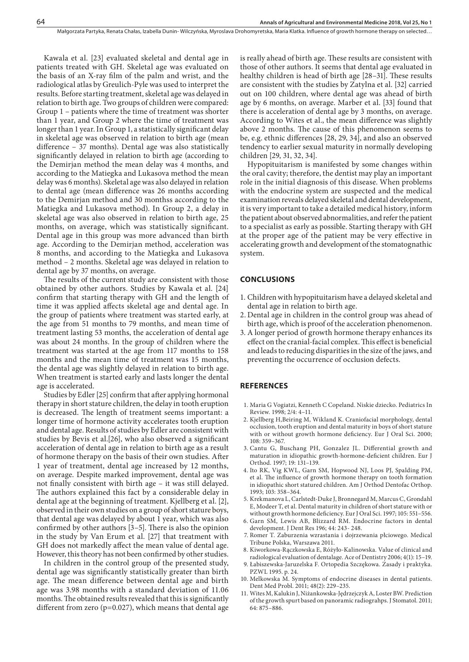Kawala et al. [23] evaluated skeletal and dental age in patients treated with GH. Skeletal age was evaluated on the basis of an X-ray film of the palm and wrist, and the radiological atlas by Greulich-Pyle was used to interpret the results. Before starting treatment, skeletal age was delayed in relation to birth age. Two groups of children were compared: Group 1 – patients where the time of treatment was shorter than 1 year, and Group 2 where the time of treatment was longer than 1 year. In Group 1, a statistically significant delay in skeletal age was observed in relation to birth age (mean difference – 37 months). Dental age was also statistically significantly delayed in relation to birth age (according to the Demirjan method the mean delay was 4 months, and according to the Matiegka and Lukasova method the mean delay was 6 months). Skeletal age was also delayed in relation to dental age (mean difference was 26 months according to the Demirjan method and 30 monthss according to the Matiegka and Lukasova method). In Group 2, a delay in skeletal age was also observed in relation to birth age, 25 months, on average, which was statistically significant. Dental age in this group was more advanced than birth age. According to the Demirjan method, acceleration was 8 months, and according to the Matiegka and Lukasova method – 2 months. Skeletal age was delayed in relation to dental age by 37 months, on average.

The results of the current study are consistent with those obtained by other authors. Studies by Kawala et al. [24] confirm that starting therapy with GH and the length of time it was applied affects skeletal age and dental age. In the group of patients where treatment was started early, at the age from 51 months to 79 months, and mean time of treatment lasting 53 months, the acceleration of dental age was about 24 months. In the group of children where the treatment was started at the age from 117 months to 158 months and the mean time of treatment was 15 months, the dental age was slightly delayed in relation to birth age. When treatment is started early and lasts longer the dental age is accelerated.

Studies by Edler [25] confirm that after applying hormonal therapy in short stature children, the delay in tooth eruption is decreased. The length of treatment seems important: a longer time of hormone activity accelerates tooth eruption and dental age. Results of studies by Edler are consistent with studies by Bevis et al.[26], who also observed a significant acceleration of dental age in relation to birth age as a result of hormone therapy on the basis of their own studies. After 1 year of treatment, dental age increased by 12 months, on average. Despite marked improvement, dental age was not finally consistent with birth age – it was still delayed. The authors explained this fact by a considerable delay in dental age at the beginning of treatment. Kjellberg et al. [2], observed in their own studies on a group of short stature boys, that dental age was delayed by about 1 year, which was also confirmed by other authors [3–5]. There is also the opinion in the study by Van Erum et al. [27] that treatment with GH does not markedly affect the mean value of dental age. However, this theory has not been confirmed by other studies.

In children in the control group of the presented study, dental age was significantly statistically greater than birth age. The mean difference between dental age and birth age was 3.98 months with a standard deviation of 11.06 months. The obtained results revealed that this is significantly different from zero ( $p=0.027$ ), which means that dental age

is really ahead of birth age. These results are consistent with those of other authors. It seems that dental age evaluated in healthy children is head of birth age [28–31]. These results are consistent with the studies by Zatylna et al. [32] carried out on 100 children, where dental age was ahead of birth age by 6 months, on average. Marber et al. [33] found that there is acceleration of dental age by 3 months, on average. According to Wites et al., the mean difference was slightly above 2 months. The cause of this phenomenon seems to be, e.g. ethnic differences [28, 29, 34], and also an observed tendency to earlier sexual maturity in normally developing children [29, 31, 32, 34].

Hypopituitarism is manifested by some changes within the oral cavity; therefore, the dentist may play an important role in the initial diagnosis of this disease. When problems with the endocrine system are suspected and the medical examination reveals delayed skeletal and dental development, it is very important to take a detailed medical history, inform the patient about observed abnormalities, and refer the patient to a specialist as early as possible. Starting therapy with GH at the proper age of the patient may be very effective in accelerating growth and development of the stomatognathic system.

## **CONCLUSIONS**

- 1. Children with hypopituitarism have a delayed skeletal and dental age in relation to birth age.
- 2. Dental age in children in the control group was ahead of birth age, which is proof of the acceleration phenomenon.
- 3. A longer period of growth hormone therapy enhances its effect on the cranial-facial complex. This effect is beneficial and leads to reducing disparities in the size of the jaws, and preventing the occurrence of occlusion defects.

## **REFERENCES**

- 1. Maria G Vogiatzi, Kenneth C Copeland. Niskie dziecko. Pediatrics In Review. 1998; 2/4: 4–11.
- 2. Kjellberg H,Beiring M, Wikland K. Craniofacial morphology, dental occlusion, tooth eruption and dental maturity in boys of short stature with or without growth hormone deficiency. Eur J Oral Sci. 2000; 108: 359–367.
- 3. Cantu G, Buschang PH, Gonzalez JL. Differential growth and maturation in idiopathic growth-hormone-deficient children. Eur J Orthod. 1997; 19: 131–139.
- 4. Ito RK, Vig KWL, Garn SM, Hopwood NJ, Loos PJ, Spalding PM, et al. The influence of growth hormone therapy on tooth formation in idiopathic short statured children. Am J Orthod Dentofac Orthop. 1993; 103: 358–364.
- 5. Krekmanova L, Carlstedt-Duke J, Bronnegard M, Marcus C, Grondahl E, Modeer T, et al. Dental maturity in children of short stature with or without growth hormone deficiency. Eur J Oral Sci. 1997; 105: 551–556.
- 6. Garn SM, Lewis AB, Blizzard RM. Endocrine factors in dental development. J Dent Res 196; 44: 243- 248.
- 7. Romer T. Zaburzenia wzrastania i dojrzewania płciowego. Medical Tribune Polska, Warszawa 2011.
- 8. Kiworkowa-Rączkowska E, Różyło-Kalinowska*.* Value of clinical and radiological evaluation of dentalage. Ace of Dentistry 2006; 4(1): 15–19.
- 9. Łabiszewska-Jaruzelska F. Ortopedia Szczękowa. Zasady i praktyka. PZWL 1995. p. 24.
- 10. Melkowska M. Symptoms of endocrine diseases in dental patients. Dent Med Probl. 2011; 48(2): 229–235.
- 11. Wites M, Kalukin J, Niżankowska-Jędrzejczyk A, Loster BW. Prediction of the growth spurt based on panoramic radiograhps. J Stomatol. 2011; 64: 875–886.